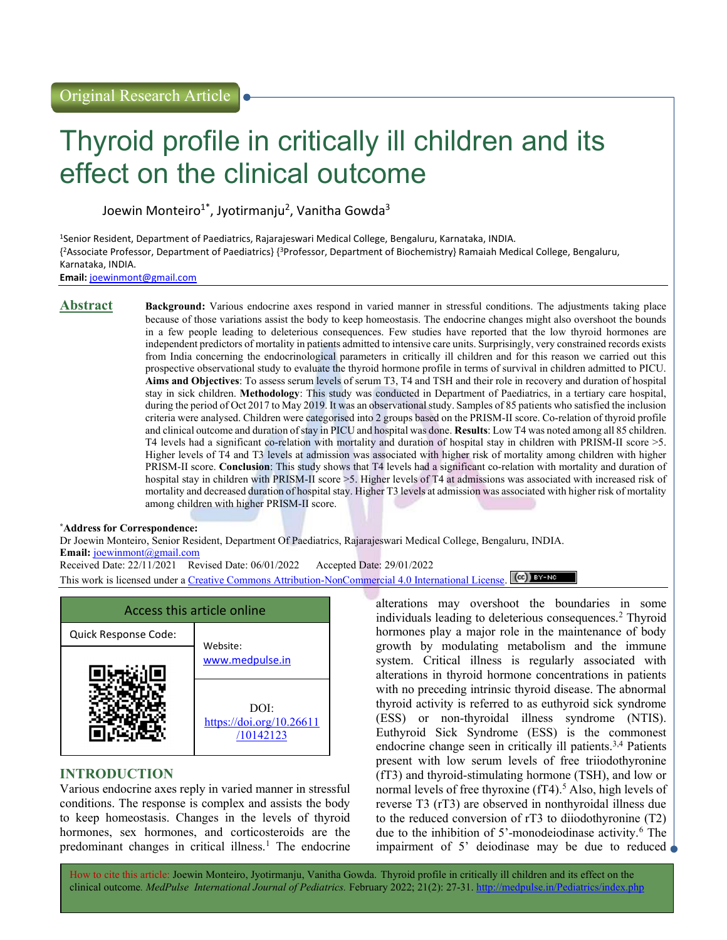# Thyroid profile in critically ill children and its effect on the clinical outcome

Joewin Monteiro<sup>1\*</sup>, Jyotirmanju<sup>2</sup>, Vanitha Gowda<sup>3</sup>

<sup>1</sup>Senior Resident, Department of Paediatrics, Rajarajeswari Medical College, Bengaluru, Karnataka, INDIA. { <sup>2</sup>Associate Professor, Department of Paediatrics} {<sup>3</sup>Professor, Department of Biochemistry} Ramaiah Medical College, Bengaluru, Karnataka, INDIA.

Email: joewinmont@gmail.com

Abstract Background: Various endocrine axes respond in varied manner in stressful conditions. The adjustments taking place because of those variations assist the body to keep homeostasis. The endocrine changes might also overshoot the bounds in a few people leading to deleterious consequences. Few studies have reported that the low thyroid hormones are independent predictors of mortality in patients admitted to intensive care units. Surprisingly, very constrained records exists from India concerning the endocrinological parameters in critically ill children and for this reason we carried out this prospective observational study to evaluate the thyroid hormone profile in terms of survival in children admitted to PICU. Aims and Objectives: To assess serum levels of serum T3, T4 and TSH and their role in recovery and duration of hospital stay in sick children. Methodology: This study was conducted in Department of Paediatrics, in a tertiary care hospital, during the period of Oct 2017 to May 2019. It was an observational study. Samples of 85 patients who satisfied the inclusion criteria were analysed. Children were categorised into 2 groups based on the PRISM-II score. Co-relation of thyroid profile and clinical outcome and duration of stay in PICU and hospital was done. Results: Low T4 was noted among all 85 children. T4 levels had a significant co-relation with mortality and duration of hospital stay in children with PRISM-II score >5. Higher levels of T4 and T3 levels at admission was associated with higher risk of mortality among children with higher PRISM-II score. Conclusion: This study shows that T4 levels had a significant co-relation with mortality and duration of hospital stay in children with PRISM-II score >5. Higher levels of T4 at admissions was associated with increased risk of mortality and decreased duration of hospital stay. Higher T3 levels at admission was associated with higher risk of mortality among children with higher PRISM-II score.

#### \*Address for Correspondence:

Dr Joewin Monteiro, Senior Resident, Department Of Paediatrics, Rajarajeswari Medical College, Bengaluru, INDIA. Email: joewinmont@gmail.com

Received Date: 22/11/2021 Revised Date: 06/01/2022 Accepted Date: 29/01/2022

This work is licensed under a Creative Commons Attribution-NonCommercial 4.0 International License.  $\left[\infty\right]$  BY-NO



# INTRODUCTION

Various endocrine axes reply in varied manner in stressful conditions. The response is complex and assists the body to keep homeostasis. Changes in the levels of thyroid hormones, sex hormones, and corticosteroids are the predominant changes in critical illness.<sup>1</sup> The endocrine

alterations may overshoot the boundaries in some individuals leading to deleterious consequences.<sup>2</sup> Thyroid hormones play a major role in the maintenance of body growth by modulating metabolism and the immune system. Critical illness is regularly associated with alterations in thyroid hormone concentrations in patients with no preceding intrinsic thyroid disease. The abnormal thyroid activity is referred to as euthyroid sick syndrome (ESS) or non-thyroidal illness syndrome (NTIS). Euthyroid Sick Syndrome (ESS) is the commonest endocrine change seen in critically ill patients.<sup>3,4</sup> Patients present with low serum levels of free triiodothyronine (fT3) and thyroid-stimulating hormone (TSH), and low or normal levels of free thyroxine (fT4).<sup>5</sup> Also, high levels of reverse T3 (rT3) are observed in nonthyroidal illness due to the reduced conversion of rT3 to diiodothyronine (T2) due to the inhibition of 5'-monodeiodinase activity.<sup>6</sup> The impairment of 5' deiodinase may be due to reduced

How to cite this article: Joewin Monteiro, Jyotirmanju, Vanitha Gowda. Thyroid profile in critically ill children and its effect on the clinical outcome. MedPulse International Journal of Pediatrics. February 2022; 21(2): 27-31. http://medpulse.in/Pediatrics/index.php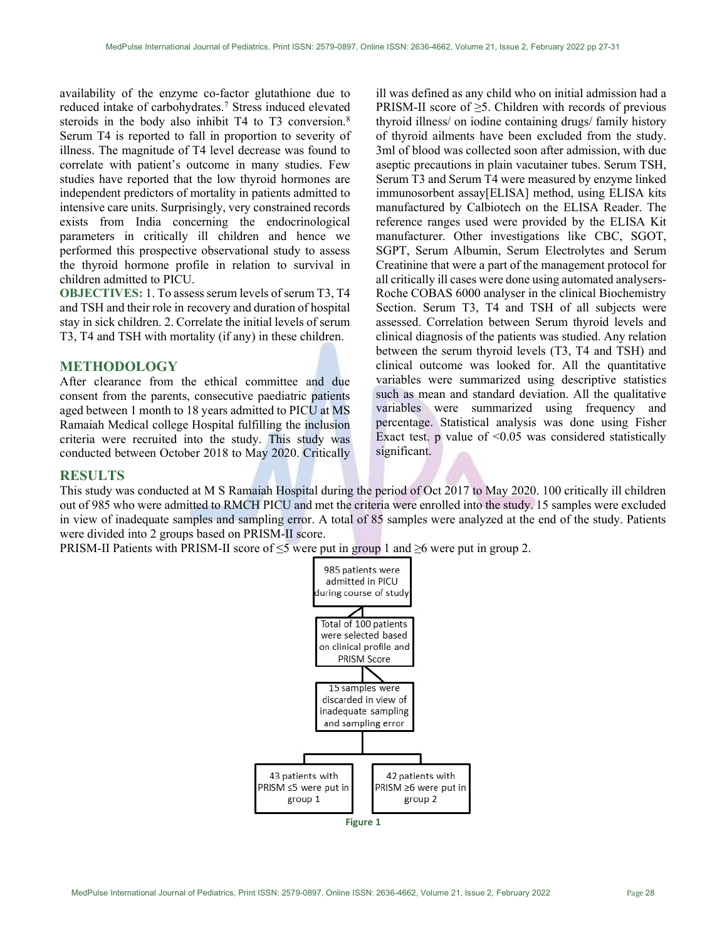availability of the enzyme co-factor glutathione due to reduced intake of carbohydrates.<sup>7</sup> Stress induced elevated steroids in the body also inhibit T4 to T3 conversion.<sup>8</sup> Serum T4 is reported to fall in proportion to severity of illness. The magnitude of T4 level decrease was found to correlate with patient's outcome in many studies. Few studies have reported that the low thyroid hormones are independent predictors of mortality in patients admitted to intensive care units. Surprisingly, very constrained records exists from India concerning the endocrinological parameters in critically ill children and hence we performed this prospective observational study to assess the thyroid hormone profile in relation to survival in children admitted to PICU.

OBJECTIVES: 1. To assess serum levels of serum T3, T4 and TSH and their role in recovery and duration of hospital stay in sick children. 2. Correlate the initial levels of serum T3, T4 and TSH with mortality (if any) in these children.

## METHODOLOGY

After clearance from the ethical committee and due consent from the parents, consecutive paediatric patients aged between 1 month to 18 years admitted to PICU at MS Ramaiah Medical college Hospital fulfilling the inclusion criteria were recruited into the study. This study was conducted between October 2018 to May 2020. Critically

ill was defined as any child who on initial admission had a PRISM-II score of  $\geq$ 5. Children with records of previous thyroid illness/ on iodine containing drugs/ family history of thyroid ailments have been excluded from the study. 3ml of blood was collected soon after admission, with due aseptic precautions in plain vacutainer tubes. Serum TSH, Serum T3 and Serum T4 were measured by enzyme linked immunosorbent assay[ELISA] method, using ELISA kits manufactured by Calbiotech on the ELISA Reader. The reference ranges used were provided by the ELISA Kit manufacturer. Other investigations like CBC, SGOT, SGPT, Serum Albumin, Serum Electrolytes and Serum Creatinine that were a part of the management protocol for all critically ill cases were done using automated analysers-Roche COBAS 6000 analyser in the clinical Biochemistry Section. Serum T3, T4 and TSH of all subjects were assessed. Correlation between Serum thyroid levels and clinical diagnosis of the patients was studied. Any relation between the serum thyroid levels (T3, T4 and TSH) and clinical outcome was looked for. All the quantitative variables were summarized using descriptive statistics such as mean and standard deviation. All the qualitative variables were summarized using frequency and percentage. Statistical analysis was done using Fisher Exact test. p value of  $\leq 0.05$  was considered statistically significant.

#### **RESULTS**

This study was conducted at M S Ramaiah Hospital during the period of Oct 2017 to May 2020. 100 critically ill children out of 985 who were admitted to RMCH PICU and met the criteria were enrolled into the study. 15 samples were excluded in view of inadequate samples and sampling error. A total of 85 samples were analyzed at the end of the study. Patients were divided into 2 groups based on PRISM-II score.

PRISM-II Patients with PRISM-II score of  $\leq$ 5 were put in group 1 and  $\geq$ 6 were put in group 2.



MedPulse International Journal of Pediatrics, Print ISSN: 2579-0897, Online ISSN: 2636-4662, Volume 21, Issue 2, February 2022 Page 28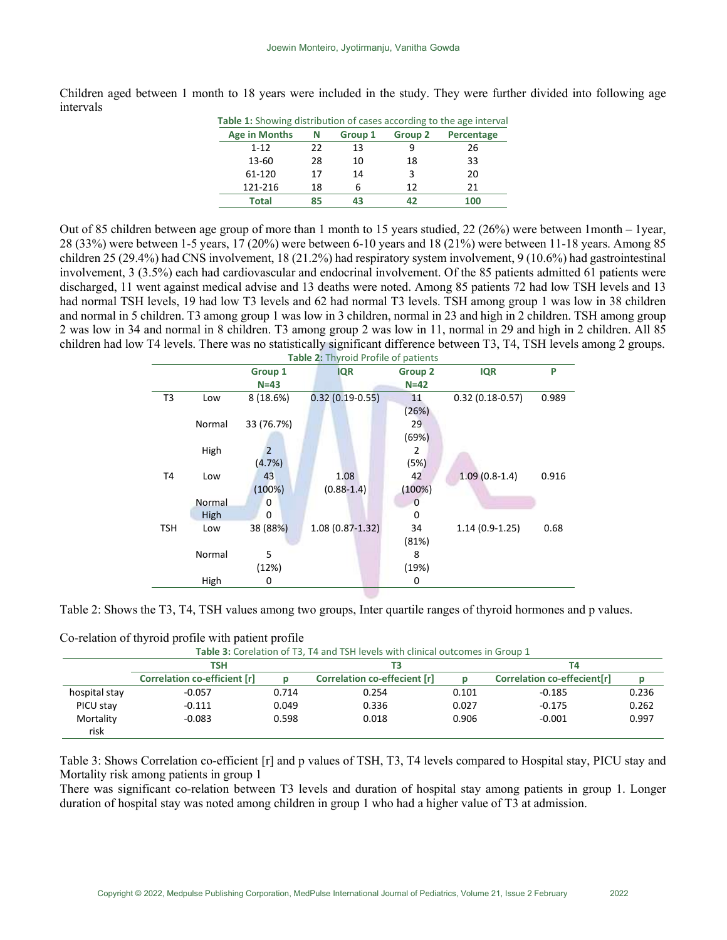| <b>Table 1:</b> Showing distribution of cases according to the age interval |    |         |         |            |  |  |
|-----------------------------------------------------------------------------|----|---------|---------|------------|--|--|
| <b>Age in Months</b>                                                        | N  | Group 1 | Group 2 | Percentage |  |  |
| $1 - 12$                                                                    | 22 | 13      |         | 26         |  |  |
| $13 - 60$                                                                   | 28 | 10      | 18      | 33         |  |  |
| 61-120                                                                      | 17 | 14      | 3       | 20         |  |  |
| 121-216                                                                     | 18 | 6       | 12      | 21         |  |  |
| Total                                                                       | 85 | 43      | 47      | 100        |  |  |

Children aged between 1 month to 18 years were included in the study. They were further divided into following age intervals

Out of 85 children between age group of more than 1 month to 15 years studied, 22 (26%) were between 1month – 1year, 28 (33%) were between 1-5 years, 17 (20%) were between 6-10 years and 18 (21%) were between 11-18 years. Among 85 children 25 (29.4%) had CNS involvement, 18 (21.2%) had respiratory system involvement, 9 (10.6%) had gastrointestinal involvement, 3 (3.5%) each had cardiovascular and endocrinal involvement. Of the 85 patients admitted 61 patients were discharged, 11 went against medical advise and 13 deaths were noted. Among 85 patients 72 had low TSH levels and 13 had normal TSH levels, 19 had low T3 levels and 62 had normal T3 levels. TSH among group 1 was low in 38 children and normal in 5 children. T3 among group 1 was low in 3 children, normal in 23 and high in 2 children. TSH among group 2 was low in 34 and normal in 8 children. T3 among group 2 was low in 11, normal in 29 and high in 2 children. All 85 children had low T4 levels. There was no statistically significant difference between T3, T4, TSH levels among 2 groups.

| Table 2: Thyroid Profile of patients |        |            |                     |                |                   |       |  |  |
|--------------------------------------|--------|------------|---------------------|----------------|-------------------|-------|--|--|
|                                      |        | Group 1    | <b>IQR</b>          | <b>Group 2</b> | <b>IQR</b>        | P     |  |  |
|                                      |        | $N=43$     |                     | $N=42$         |                   |       |  |  |
| T3                                   | Low    | 8(18.6%)   | $0.32(0.19-0.55)$   | 11             | $0.32(0.18-0.57)$ | 0.989 |  |  |
|                                      |        |            |                     | (26%)          |                   |       |  |  |
|                                      | Normal | 33 (76.7%) |                     | 29             |                   |       |  |  |
|                                      |        |            |                     | (69%)          |                   |       |  |  |
|                                      | High   | 2          |                     | 2              |                   |       |  |  |
|                                      |        | (4.7%)     |                     | (5%)           |                   |       |  |  |
| T4                                   | Low    | 43         | 1.08                | 42             | $1.09(0.8-1.4)$   | 0.916 |  |  |
|                                      |        | (100%)     | $(0.88 - 1.4)$      | (100%)         |                   |       |  |  |
|                                      | Normal | 0          |                     | O              |                   |       |  |  |
|                                      | High   | $\Omega$   |                     | ი              |                   |       |  |  |
| TSH                                  | Low    | 38 (88%)   | $1.08(0.87 - 1.32)$ | 34             | $1.14(0.9-1.25)$  | 0.68  |  |  |
|                                      |        |            |                     | (81%)          |                   |       |  |  |
|                                      | Normal | 5          |                     | 8              |                   |       |  |  |
|                                      |        | (12%)      |                     | (19%)          |                   |       |  |  |
|                                      | High   | 0          |                     | 0              |                   |       |  |  |
|                                      |        |            |                     |                |                   |       |  |  |

Table 2: Shows the T3, T4, TSH values among two groups, Inter quartile ranges of thyroid hormones and p values.

| Table 3: Corelation of T3, T4 and TSH levels with clinical outcomes in Group 1 |                              |       |                              |       |                             |       |
|--------------------------------------------------------------------------------|------------------------------|-------|------------------------------|-------|-----------------------------|-------|
|                                                                                | TSH                          |       | ТЗ                           |       | Τ4                          |       |
|                                                                                | Correlation co-efficient [r] |       | Correlation co-effecient [r] |       | Correlation co-effecient[r] |       |
| hospital stay                                                                  | $-0.057$                     | 0.714 | 0.254                        | 0.101 | $-0.185$                    | 0.236 |
| PICU stay                                                                      | $-0.111$                     | 0.049 | 0.336                        | 0.027 | $-0.175$                    | 0.262 |
| Mortality                                                                      | $-0.083$                     | 0.598 | 0.018                        | 0.906 | $-0.001$                    | 0.997 |
| risk                                                                           |                              |       |                              |       |                             |       |

Co-relation of thyroid profile with patient profile

Table 3: Shows Correlation co-efficient [r] and p values of TSH, T3, T4 levels compared to Hospital stay, PICU stay and Mortality risk among patients in group 1

There was significant co-relation between T3 levels and duration of hospital stay among patients in group 1. Longer duration of hospital stay was noted among children in group 1 who had a higher value of T3 at admission.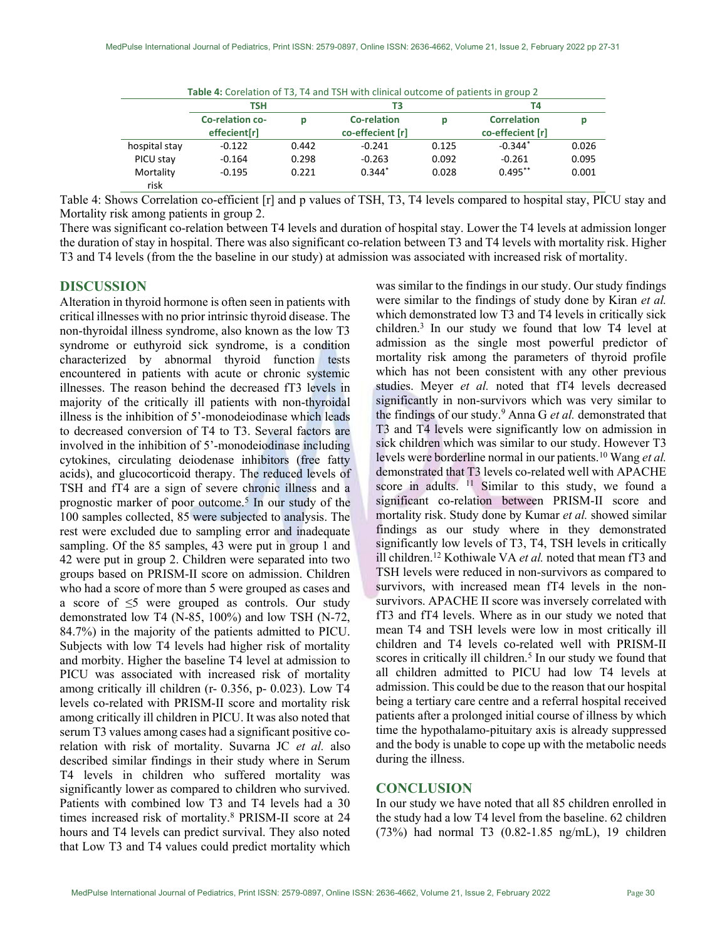| Table 4: Corelation of T3, T4 and TSH with clinical outcome of patients in group 2 |                                 |       |                                 |       |                                        |       |
|------------------------------------------------------------------------------------|---------------------------------|-------|---------------------------------|-------|----------------------------------------|-------|
|                                                                                    | TSH                             |       | ΤЗ                              |       | Τ4                                     |       |
|                                                                                    | Co-relation co-<br>effecient[r] | Ю     | Co-relation<br>co-effecient [r] | р     | <b>Correlation</b><br>co-effecient [r] |       |
| hospital stay                                                                      | $-0.122$                        | 0.442 | $-0.241$                        | 0.125 | $-0.344*$                              | 0.026 |
| PICU stay                                                                          | $-0.164$                        | 0.298 | $-0.263$                        | 0.092 | $-0.261$                               | 0.095 |
| Mortality<br>risk                                                                  | $-0.195$                        | 0.221 | $0.344*$                        | 0.028 | $0.495**$                              | 0.001 |

Table 4: Shows Correlation co-efficient [r] and p values of TSH, T3, T4 levels compared to hospital stay, PICU stay and Mortality risk among patients in group 2.

There was significant co-relation between T4 levels and duration of hospital stay. Lower the T4 levels at admission longer the duration of stay in hospital. There was also significant co-relation between T3 and T4 levels with mortality risk. Higher T3 and T4 levels (from the the baseline in our study) at admission was associated with increased risk of mortality.

# DISCUSSION

Alteration in thyroid hormone is often seen in patients with critical illnesses with no prior intrinsic thyroid disease. The non-thyroidal illness syndrome, also known as the low T3 syndrome or euthyroid sick syndrome, is a condition characterized by abnormal thyroid function tests encountered in patients with acute or chronic systemic illnesses. The reason behind the decreased fT3 levels in majority of the critically ill patients with non-thyroidal illness is the inhibition of 5'-monodeiodinase which leads to decreased conversion of T4 to T3. Several factors are involved in the inhibition of 5'-monodeiodinase including cytokines, circulating deiodenase inhibitors (free fatty acids), and glucocorticoid therapy. The reduced levels of TSH and fT4 are a sign of severe chronic illness and a prognostic marker of poor outcome.<sup>5</sup> In our study of the 100 samples collected, 85 were subjected to analysis. The rest were excluded due to sampling error and inadequate sampling. Of the 85 samples, 43 were put in group 1 and 42 were put in group 2. Children were separated into two groups based on PRISM-II score on admission. Children who had a score of more than 5 were grouped as cases and a score of  $\leq$ 5 were grouped as controls. Our study demonstrated low T4 (N-85, 100%) and low TSH (N-72, 84.7%) in the majority of the patients admitted to PICU. Subjects with low T4 levels had higher risk of mortality and morbity. Higher the baseline T4 level at admission to PICU was associated with increased risk of mortality among critically ill children (r- 0.356, p- 0.023). Low T4 levels co-related with PRISM-II score and mortality risk among critically ill children in PICU. It was also noted that serum T3 values among cases had a significant positive corelation with risk of mortality. Suvarna JC et al. also described similar findings in their study where in Serum T4 levels in children who suffered mortality was significantly lower as compared to children who survived. Patients with combined low T3 and T4 levels had a 30 times increased risk of mortality.<sup>8</sup> PRISM-II score at 24 hours and T4 levels can predict survival. They also noted that Low T3 and T4 values could predict mortality which

was similar to the findings in our study. Our study findings were similar to the findings of study done by Kiran et al. which demonstrated low T3 and T4 levels in critically sick children.<sup>3</sup> In our study we found that low T4 level at admission as the single most powerful predictor of mortality risk among the parameters of thyroid profile which has not been consistent with any other previous studies. Meyer et al. noted that fT4 levels decreased significantly in non-survivors which was very similar to the findings of our study.<sup>9</sup> Anna G et al. demonstrated that T3 and T4 levels were significantly low on admission in sick children which was similar to our study. However T3 levels were borderline normal in our patients.<sup>10</sup> Wang et al. demonstrated that T3 levels co-related well with APACHE score in adults. <sup>11</sup> Similar to this study, we found a significant co-relation between PRISM-II score and mortality risk. Study done by Kumar et al. showed similar findings as our study where in they demonstrated significantly low levels of T3, T4, TSH levels in critically ill children.<sup>12</sup> Kothiwale VA *et al.* noted that mean fT3 and TSH levels were reduced in non-survivors as compared to survivors, with increased mean fT4 levels in the nonsurvivors. APACHE II score was inversely correlated with fT3 and fT4 levels. Where as in our study we noted that mean T4 and TSH levels were low in most critically ill children and T4 levels co-related well with PRISM-II scores in critically ill children.<sup>5</sup> In our study we found that all children admitted to PICU had low T4 levels at admission. This could be due to the reason that our hospital being a tertiary care centre and a referral hospital received patients after a prolonged initial course of illness by which time the hypothalamo-pituitary axis is already suppressed and the body is unable to cope up with the metabolic needs during the illness.

### **CONCLUSION**

In our study we have noted that all 85 children enrolled in the study had a low T4 level from the baseline. 62 children (73%) had normal T3 (0.82-1.85 ng/mL), 19 children